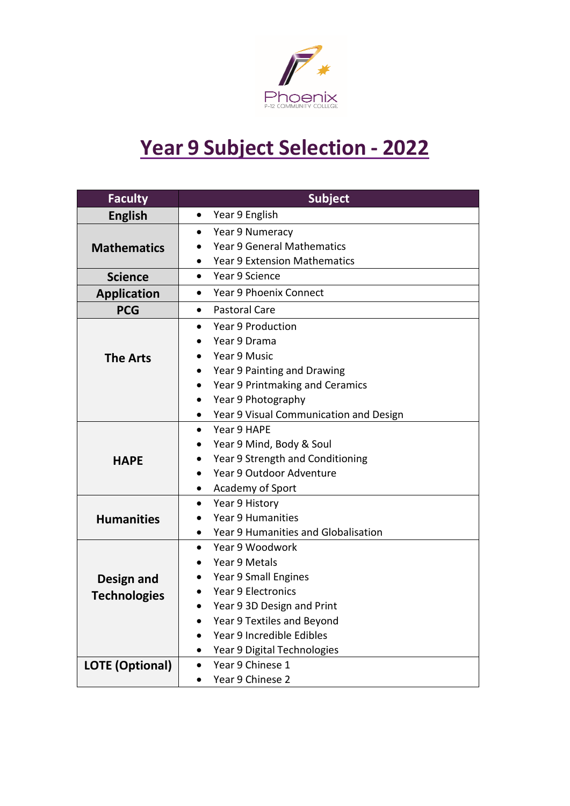

## **Year 9 Subject Selection - 2022**

| <b>Faculty</b>         | <b>Subject</b>                              |  |  |
|------------------------|---------------------------------------------|--|--|
| <b>English</b>         | Year 9 English<br>$\bullet$                 |  |  |
|                        | Year 9 Numeracy<br>$\bullet$                |  |  |
| <b>Mathematics</b>     | <b>Year 9 General Mathematics</b>           |  |  |
|                        | <b>Year 9 Extension Mathematics</b>         |  |  |
| <b>Science</b>         | Year 9 Science<br>$\bullet$                 |  |  |
| <b>Application</b>     | <b>Year 9 Phoenix Connect</b><br>$\bullet$  |  |  |
| <b>PCG</b>             | <b>Pastoral Care</b><br>$\bullet$           |  |  |
|                        | <b>Year 9 Production</b><br>$\bullet$       |  |  |
|                        | Year 9 Drama                                |  |  |
| <b>The Arts</b>        | Year 9 Music                                |  |  |
|                        | Year 9 Painting and Drawing                 |  |  |
|                        | Year 9 Printmaking and Ceramics             |  |  |
|                        | Year 9 Photography                          |  |  |
|                        | Year 9 Visual Communication and Design<br>٠ |  |  |
|                        | Year 9 HAPE<br>$\bullet$                    |  |  |
|                        | Year 9 Mind, Body & Soul                    |  |  |
| <b>HAPE</b>            | Year 9 Strength and Conditioning            |  |  |
|                        | Year 9 Outdoor Adventure                    |  |  |
|                        | Academy of Sport                            |  |  |
|                        | Year 9 History<br>$\bullet$                 |  |  |
| <b>Humanities</b>      | <b>Year 9 Humanities</b>                    |  |  |
|                        | Year 9 Humanities and Globalisation         |  |  |
|                        | Year 9 Woodwork<br>$\bullet$                |  |  |
|                        | Year 9 Metals                               |  |  |
| Design and             | Year 9 Small Engines                        |  |  |
| <b>Technologies</b>    | <b>Year 9 Electronics</b>                   |  |  |
|                        | Year 9 3D Design and Print                  |  |  |
|                        | Year 9 Textiles and Beyond                  |  |  |
|                        | Year 9 Incredible Edibles                   |  |  |
|                        | Year 9 Digital Technologies<br>$\bullet$    |  |  |
| <b>LOTE (Optional)</b> | Year 9 Chinese 1<br>$\bullet$               |  |  |
|                        | Year 9 Chinese 2<br>$\bullet$               |  |  |